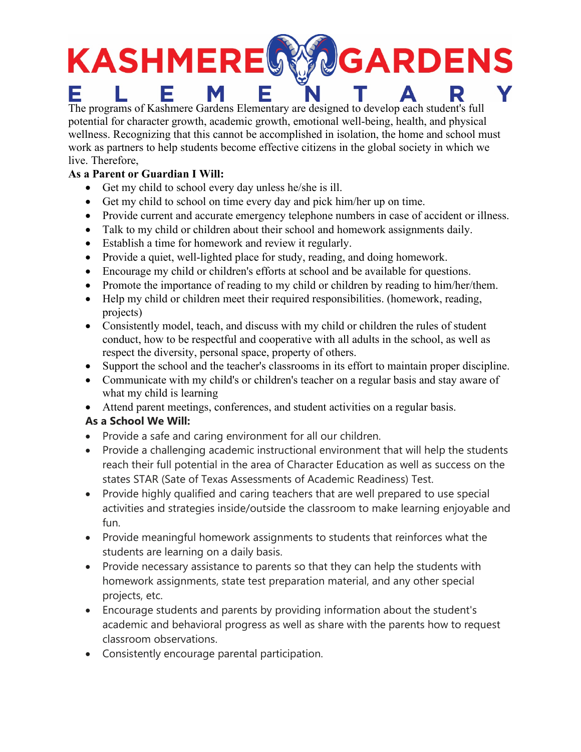# KASHMEREG **GARDENS** E

The programs of Kashmere Gardens Elementary are designed to develop each student's full potential for character growth, academic growth, emotional well-being, health, and physical wellness. Recognizing that this cannot be accomplished in isolation, the home and school must work as partners to help students become effective citizens in the global society in which we live. Therefore,

### **As a Parent or Guardian I Will:**

- Get my child to school every day unless he/she is ill.
- Get my child to school on time every day and pick him/her up on time.
- Provide current and accurate emergency telephone numbers in case of accident or illness.
- Talk to my child or children about their school and homework assignments daily.
- Establish a time for homework and review it regularly.
- Provide a quiet, well-lighted place for study, reading, and doing homework.
- Encourage my child or children's efforts at school and be available for questions.
- Promote the importance of reading to my child or children by reading to him/her/them.
- Help my child or children meet their required responsibilities. (homework, reading, projects)
- Consistently model, teach, and discuss with my child or children the rules of student conduct, how to be respectful and cooperative with all adults in the school, as well as respect the diversity, personal space, property of others.
- Support the school and the teacher's classrooms in its effort to maintain proper discipline.
- Communicate with my child's or children's teacher on a regular basis and stay aware of what my child is learning
- Attend parent meetings, conferences, and student activities on a regular basis.

## **As a School We Will:**

- Provide a safe and caring environment for all our children.
- Provide a challenging academic instructional environment that will help the students reach their full potential in the area of Character Education as well as success on the states STAR (Sate of Texas Assessments of Academic Readiness) Test.
- Provide highly qualified and caring teachers that are well prepared to use special activities and strategies inside/outside the classroom to make learning enjoyable and fun.
- Provide meaningful homework assignments to students that reinforces what the students are learning on a daily basis.
- Provide necessary assistance to parents so that they can help the students with homework assignments, state test preparation material, and any other special projects, etc.
- Encourage students and parents by providing information about the student's academic and behavioral progress as well as share with the parents how to request classroom observations.
- Consistently encourage parental participation.